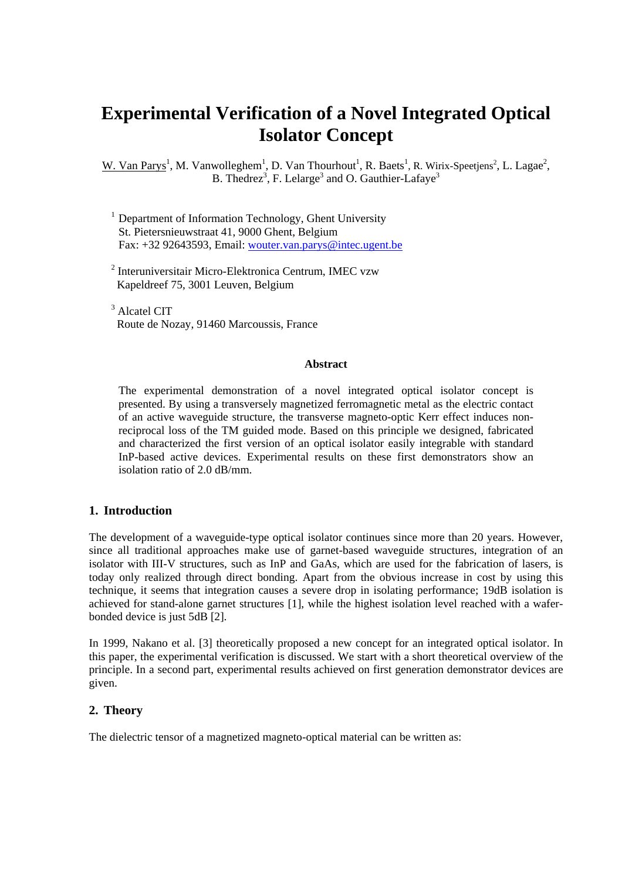# **Experimental Verification of a Novel Integrated Optical Isolator Concept**

W. Van Parys<sup>1</sup>, M. Vanwolleghem<sup>1</sup>, D. Van Thourhout<sup>1</sup>, R. Baets<sup>1</sup>, R. Wirix-Speetjens<sup>2</sup>, L. Lagae<sup>2</sup>, B. Thedrez<sup>3</sup>, F. Lelarge<sup>3</sup> and O. Gauthier-Lafaye<sup>3</sup>

- $<sup>1</sup>$  Department of Information Technology, Ghent University</sup> St. Pietersnieuwstraat 41, 9000 Ghent, Belgium Fax: +32 92643593, Email: [wouter.van.parys@intec.ugent.be](mailto:wouter.van.parys@intec.ugent.be)
- 2 Interuniversitair Micro-Elektronica Centrum, IMEC vzw Kapeldreef 75, 3001 Leuven, Belgium
- 3 Alcatel CIT Route de Nozay, 91460 Marcoussis, France

#### **Abstract**

The experimental demonstration of a novel integrated optical isolator concept is presented. By using a transversely magnetized ferromagnetic metal as the electric contact of an active waveguide structure, the transverse magneto-optic Kerr effect induces nonreciprocal loss of the TM guided mode. Based on this principle we designed, fabricated and characterized the first version of an optical isolator easily integrable with standard InP-based active devices. Experimental results on these first demonstrators show an isolation ratio of 2.0 dB/mm.

#### **1. Introduction**

The development of a waveguide-type optical isolator continues since more than 20 years. However, since all traditional approaches make use of garnet-based waveguide structures, integration of an isolator with III-V structures, such as InP and GaAs, which are used for the fabrication of lasers, is today only realized through direct bonding. Apart from the obvious increase in cost by using this technique, it seems that integration causes a severe drop in isolating performance; 19dB isolation is achieved for stand-alone garnet structures [1], while the highest isolation level reached with a waferbonded device is just 5dB [2].

In 1999, Nakano et al. [3] theoretically proposed a new concept for an integrated optical isolator. In this paper, the experimental verification is discussed. We start with a short theoretical overview of the principle. In a second part, experimental results achieved on first generation demonstrator devices are given.

#### **2. Theory**

The dielectric tensor of a magnetized magneto-optical material can be written as: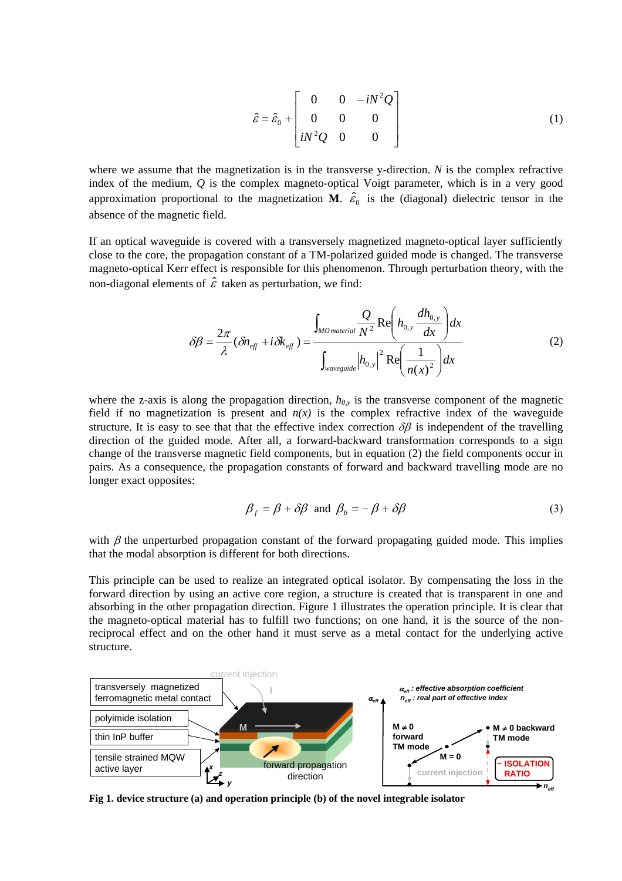$$
\hat{\varepsilon} = \hat{\varepsilon}_0 + \begin{bmatrix} 0 & 0 & -iN^2Q \\ 0 & 0 & 0 \\ iN^2Q & 0 & 0 \end{bmatrix}
$$
 (1)

where we assume that the magnetization is in the transverse y-direction. *N* is the complex refractive index of the medium, *Q* is the complex magneto-optical Voigt parameter, which is in a very good approximation proportional to the magnetization **M**.  $\hat{\varepsilon}_0$  is the (diagonal) dielectric tensor in the absence of the magnetic field.

If an optical waveguide is covered with a transversely magnetized magneto-optical layer sufficiently close to the core, the propagation constant of a TM-polarized guided mode is changed. The transverse magneto-optical Kerr effect is responsible for this phenomenon. Through perturbation theory, with the non-diagonal elements of  $\hat{\varepsilon}$  taken as perturbation, we find:

$$
\delta \beta = \frac{2\pi}{\lambda} (\delta n_{\text{eff}} + i \delta k_{\text{eff}}) = \frac{\int_{MO \text{ material}} \frac{Q}{N^2} \text{Re} \left( h_{0,y} \frac{dh_{0,y}}{dx} \right) dx}{\int_{\text{waveguide}} |h_{0,y}|^2 \text{Re} \left( \frac{1}{n(x)^2} \right) dx}
$$
(2)

where the z-axis is along the propagation direction,  $h_{0,y}$  is the transverse component of the magnetic field if no magnetization is present and  $n(x)$  is the complex refractive index of the waveguide structure. It is easy to see that that the effective index correction  $\delta\beta$  is independent of the travelling direction of the guided mode. After all, a forward-backward transformation corresponds to a sign change of the transverse magnetic field components, but in equation (2) the field components occur in pairs. As a consequence, the propagation constants of forward and backward travelling mode are no longer exact opposites:

$$
\beta_f = \beta + \delta\beta \text{ and } \beta_b = -\beta + \delta\beta \tag{3}
$$

with  $\beta$  the unperturbed propagation constant of the forward propagating guided mode. This implies that the modal absorption is different for both directions.

This principle can be used to realize an integrated optical isolator. By compensating the loss in the forward direction by using an active core region, a structure is created that is transparent in one and absorbing in the other propagation direction. Figure 1 illustrates the operation principle. It is clear that the magneto-optical material has to fulfill two functions; on one hand, it is the source of the nonreciprocal effect and on the other hand it must serve as a metal contact for the underlying active structure.



**Fig 1. device structure (a) and operation principle (b) of the novel integrable isolator**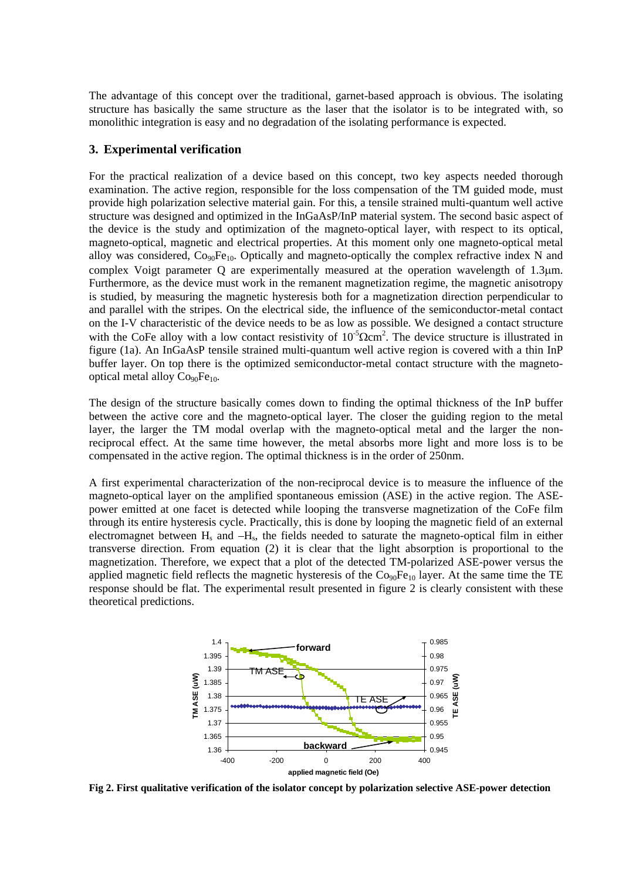The advantage of this concept over the traditional, garnet-based approach is obvious. The isolating structure has basically the same structure as the laser that the isolator is to be integrated with, so monolithic integration is easy and no degradation of the isolating performance is expected.

#### **3. Experimental verification**

For the practical realization of a device based on this concept, two key aspects needed thorough examination. The active region, responsible for the loss compensation of the TM guided mode, must provide high polarization selective material gain. For this, a tensile strained multi-quantum well active structure was designed and optimized in the InGaAsP/InP material system. The second basic aspect of the device is the study and optimization of the magneto-optical layer, with respect to its optical, magneto-optical, magnetic and electrical properties. At this moment only one magneto-optical metal alloy was considered, Co<sub>90</sub>Fe<sub>10</sub>. Optically and magneto-optically the complex refractive index N and complex Voigt parameter Q are experimentally measured at the operation wavelength of 1.3µm. Furthermore, as the device must work in the remanent magnetization regime, the magnetic anisotropy is studied, by measuring the magnetic hysteresis both for a magnetization direction perpendicular to and parallel with the stripes. On the electrical side, the influence of the semiconductor-metal contact on the I-V characteristic of the device needs to be as low as possible. We designed a contact structure with the CoFe alloy with a low contact resistivity of  $10^{-5} \Omega \text{cm}^2$ . The device structure is illustrated in figure (1a). An InGaAsP tensile strained multi-quantum well active region is covered with a thin InP buffer layer. On top there is the optimized semiconductor-metal contact structure with the magnetooptical metal alloy  $Co<sub>90</sub>Fe<sub>10</sub>$ .

The design of the structure basically comes down to finding the optimal thickness of the InP buffer between the active core and the magneto-optical layer. The closer the guiding region to the metal layer, the larger the TM modal overlap with the magneto-optical metal and the larger the nonreciprocal effect. At the same time however, the metal absorbs more light and more loss is to be compensated in the active region. The optimal thickness is in the order of 250nm.

A first experimental characterization of the non-reciprocal device is to measure the influence of the magneto-optical layer on the amplified spontaneous emission (ASE) in the active region. The ASEpower emitted at one facet is detected while looping the transverse magnetization of the CoFe film through its entire hysteresis cycle. Practically, this is done by looping the magnetic field of an external electromagnet between  $H_s$  and  $-H_s$ , the fields needed to saturate the magneto-optical film in either transverse direction. From equation (2) it is clear that the light absorption is proportional to the magnetization. Therefore, we expect that a plot of the detected TM-polarized ASE-power versus the applied magnetic field reflects the magnetic hysteresis of the  $Co<sub>90</sub>Fe<sub>10</sub>$  layer. At the same time the TE response should be flat. The experimental result presented in figure 2 is clearly consistent with these theoretical predictions.



**Fig 2. First qualitative verification of the isolator concept by polarization selective ASE-power detection**